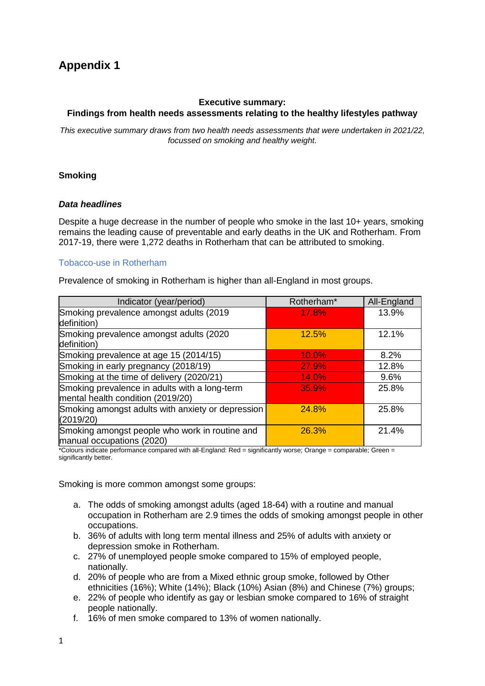# **Appendix 1**

# **Executive summary:**

# **Findings from health needs assessments relating to the healthy lifestyles pathway**

*This executive summary draws from two health needs assessments that were undertaken in 2021/22, focussed on smoking and healthy weight.*

# **Smoking**

#### *Data headlines*

Despite a huge decrease in the number of people who smoke in the last 10+ years, smoking remains the leading cause of preventable and early deaths in the UK and Rotherham. From 2017-19, there were 1,272 deaths in Rotherham that can be attributed to smoking.

#### Tobacco-use in Rotherham

Prevalence of smoking in Rotherham is higher than all-England in most groups.

| Indicator (year/period)                           | Rotherham* | All-England |
|---------------------------------------------------|------------|-------------|
| Smoking prevalence amongst adults (2019)          | 17.8%      | 13.9%       |
| definition)                                       |            |             |
| Smoking prevalence amongst adults (2020)          | 12.5%      | 12.1%       |
| definition)                                       |            |             |
| Smoking prevalence at age 15 (2014/15)            | 10.0%      | 8.2%        |
| Smoking in early pregnancy (2018/19)              | 27.9%      | 12.8%       |
| Smoking at the time of delivery (2020/21)         | 14.0%      | 9.6%        |
| Smoking prevalence in adults with a long-term     | 35.9%      | 25.8%       |
| mental health condition (2019/20)                 |            |             |
| Smoking amongst adults with anxiety or depression | 24.8%      | 25.8%       |
| (2019/20)                                         |            |             |
| Smoking amongst people who work in routine and    | 26.3%      | 21.4%       |
| manual occupations (2020)                         |            |             |

\*Colours indicate performance compared with all-England: Red = significantly worse; Orange = comparable; Green = significantly better.

Smoking is more common amongst some groups:

- a. The odds of smoking amongst adults (aged 18-64) with a routine and manual occupation in Rotherham are 2.9 times the odds of smoking amongst people in other occupations.
- b. 36% of adults with long term mental illness and 25% of adults with anxiety or depression smoke in Rotherham.
- c. 27% of unemployed people smoke compared to 15% of employed people, nationally.
- d. 20% of people who are from a Mixed ethnic group smoke, followed by Other ethnicities (16%); White (14%); Black (10%) Asian (8%) and Chinese (7%) groups;
- e. 22% of people who identify as gay or lesbian smoke compared to 16% of straight people nationally.
- f. 16% of men smoke compared to 13% of women nationally.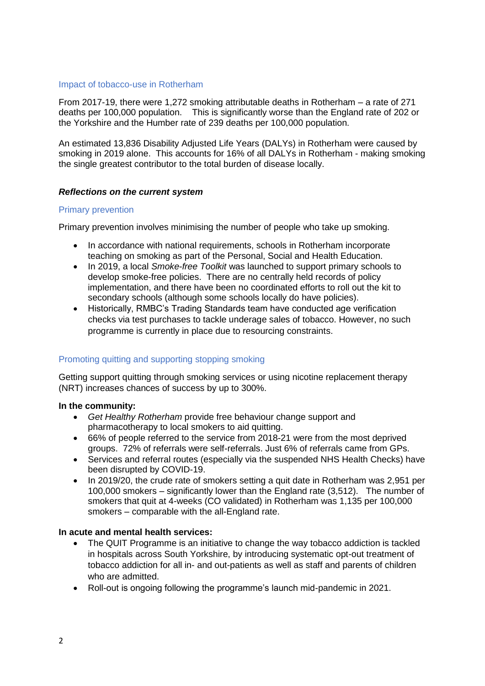#### Impact of tobacco-use in Rotherham

From 2017-19, there were 1,272 smoking attributable deaths in Rotherham – a rate of 271 deaths per 100,000 population. This is significantly worse than the England rate of 202 or the Yorkshire and the Humber rate of 239 deaths per 100,000 population.

An estimated 13,836 Disability Adjusted Life Years (DALYs) in Rotherham were caused by smoking in 2019 alone. This accounts for 16% of all DALYs in Rotherham - making smoking the single greatest contributor to the total burden of disease locally.

### *Reflections on the current system*

### Primary prevention

Primary prevention involves minimising the number of people who take up smoking.

- In accordance with national requirements, schools in Rotherham incorporate teaching on smoking as part of the Personal, Social and Health Education.
- In 2019, a local *Smoke-free Toolkit* was launched to support primary schools to develop smoke-free policies. There are no centrally held records of policy implementation, and there have been no coordinated efforts to roll out the kit to secondary schools (although some schools locally do have policies).
- Historically, RMBC's Trading Standards team have conducted age verification checks via test purchases to tackle underage sales of tobacco. However, no such programme is currently in place due to resourcing constraints.

### Promoting quitting and supporting stopping smoking

Getting support quitting through smoking services or using nicotine replacement therapy (NRT) increases chances of success by up to 300%.

### **In the community:**

- *Get Healthy Rotherham* provide free behaviour change support and pharmacotherapy to local smokers to aid quitting.
- 66% of people referred to the service from 2018-21 were from the most deprived groups. 72% of referrals were self-referrals. Just 6% of referrals came from GPs.
- Services and referral routes (especially via the suspended NHS Health Checks) have been disrupted by COVID-19.
- In 2019/20, the crude rate of smokers setting a quit date in Rotherham was 2,951 per 100,000 smokers – significantly lower than the England rate (3,512). The number of smokers that quit at 4-weeks (CO validated) in Rotherham was 1,135 per 100,000 smokers – comparable with the all-England rate.

### **In acute and mental health services:**

- The QUIT Programme is an initiative to change the way tobacco addiction is tackled in hospitals across South Yorkshire, by introducing systematic opt-out treatment of tobacco addiction for all in- and out-patients as well as staff and parents of children who are admitted.
- Roll-out is ongoing following the programme's launch mid-pandemic in 2021.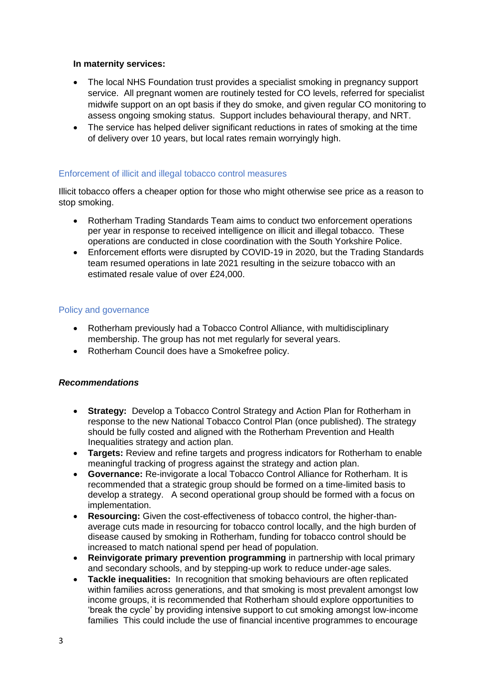# **In maternity services:**

- The local NHS Foundation trust provides a specialist smoking in pregnancy support service. All pregnant women are routinely tested for CO levels, referred for specialist midwife support on an opt basis if they do smoke, and given regular CO monitoring to assess ongoing smoking status. Support includes behavioural therapy, and NRT.
- The service has helped deliver significant reductions in rates of smoking at the time of delivery over 10 years, but local rates remain worryingly high.

# Enforcement of illicit and illegal tobacco control measures

Illicit tobacco offers a cheaper option for those who might otherwise see price as a reason to stop smoking.

- Rotherham Trading Standards Team aims to conduct two enforcement operations per year in response to received intelligence on illicit and illegal tobacco. These operations are conducted in close coordination with the South Yorkshire Police.
- Enforcement efforts were disrupted by COVID-19 in 2020, but the Trading Standards team resumed operations in late 2021 resulting in the seizure tobacco with an estimated resale value of over £24,000.

### Policy and governance

- Rotherham previously had a Tobacco Control Alliance, with multidisciplinary membership. The group has not met regularly for several years.
- Rotherham Council does have a Smokefree policy.

### *Recommendations*

- **Strategy:** Develop a Tobacco Control Strategy and Action Plan for Rotherham in response to the new National Tobacco Control Plan (once published). The strategy should be fully costed and aligned with the Rotherham Prevention and Health Inequalities strategy and action plan.
- **Targets:** Review and refine targets and progress indicators for Rotherham to enable meaningful tracking of progress against the strategy and action plan.
- **Governance:** Re-invigorate a local Tobacco Control Alliance for Rotherham. It is recommended that a strategic group should be formed on a time-limited basis to develop a strategy. A second operational group should be formed with a focus on implementation.
- **Resourcing:** Given the cost-effectiveness of tobacco control, the higher-thanaverage cuts made in resourcing for tobacco control locally, and the high burden of disease caused by smoking in Rotherham, funding for tobacco control should be increased to match national spend per head of population.
- **Reinvigorate primary prevention programming** in partnership with local primary and secondary schools, and by stepping-up work to reduce under-age sales.
- **Tackle inequalities:** In recognition that smoking behaviours are often replicated within families across generations, and that smoking is most prevalent amongst low income groups, it is recommended that Rotherham should explore opportunities to 'break the cycle' by providing intensive support to cut smoking amongst low-income families This could include the use of financial incentive programmes to encourage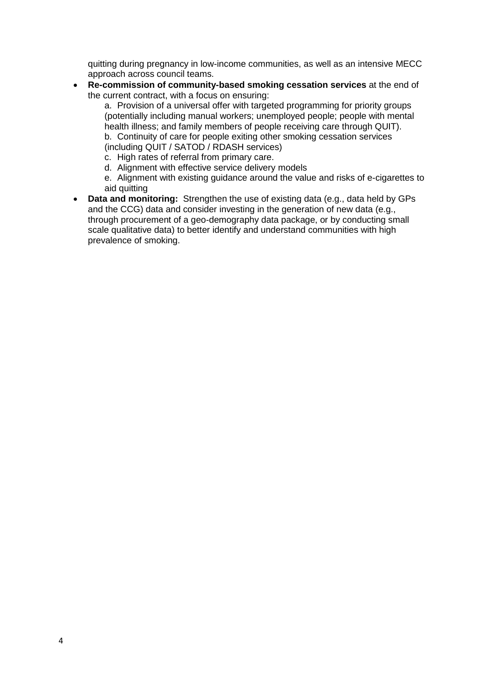quitting during pregnancy in low-income communities, as well as an intensive MECC approach across council teams.

 **Re-commission of community-based smoking cessation services** at the end of the current contract, with a focus on ensuring:

a. Provision of a universal offer with targeted programming for priority groups (potentially including manual workers; unemployed people; people with mental health illness; and family members of people receiving care through QUIT).

b. Continuity of care for people exiting other smoking cessation services (including QUIT / SATOD / RDASH services)

- c. High rates of referral from primary care.
- d. Alignment with effective service delivery models

e. Alignment with existing guidance around the value and risks of e-cigarettes to aid quitting

 **Data and monitoring:** Strengthen the use of existing data (e.g., data held by GPs and the CCG) data and consider investing in the generation of new data (e.g., through procurement of a geo-demography data package, or by conducting small scale qualitative data) to better identify and understand communities with high prevalence of smoking.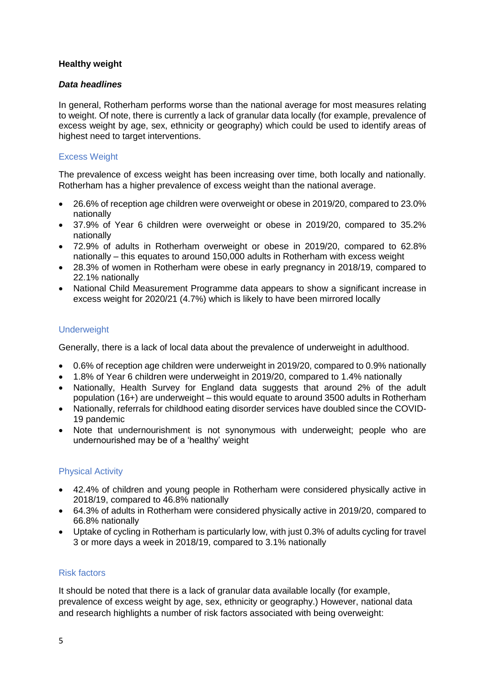# **Healthy weight**

### *Data headlines*

In general, Rotherham performs worse than the national average for most measures relating to weight. Of note, there is currently a lack of granular data locally (for example, prevalence of excess weight by age, sex, ethnicity or geography) which could be used to identify areas of highest need to target interventions.

# Excess Weight

The prevalence of excess weight has been increasing over time, both locally and nationally. Rotherham has a higher prevalence of excess weight than the national average.

- 26.6% of reception age children were overweight or obese in 2019/20, compared to 23.0% nationally
- 37.9% of Year 6 children were overweight or obese in 2019/20, compared to 35.2% nationally
- 72.9% of adults in Rotherham overweight or obese in 2019/20, compared to 62.8% nationally – this equates to around 150,000 adults in Rotherham with excess weight
- 28.3% of women in Rotherham were obese in early pregnancy in 2018/19, compared to 22.1% nationally
- National Child Measurement Programme data appears to show a significant increase in excess weight for 2020/21 (4.7%) which is likely to have been mirrored locally

# Underweight

Generally, there is a lack of local data about the prevalence of underweight in adulthood.

- 0.6% of reception age children were underweight in 2019/20, compared to 0.9% nationally
- 1.8% of Year 6 children were underweight in 2019/20, compared to 1.4% nationally
- Nationally, Health Survey for England data suggests that around 2% of the adult population (16+) are underweight – this would equate to around 3500 adults in Rotherham
- Nationally, referrals for childhood eating disorder services have doubled since the COVID-19 pandemic
- Note that undernourishment is not synonymous with underweight; people who are undernourished may be of a 'healthy' weight

# Physical Activity

- 42.4% of children and young people in Rotherham were considered physically active in 2018/19, compared to 46.8% nationally
- 64.3% of adults in Rotherham were considered physically active in 2019/20, compared to 66.8% nationally
- Uptake of cycling in Rotherham is particularly low, with just 0.3% of adults cycling for travel 3 or more days a week in 2018/19, compared to 3.1% nationally

### Risk factors

It should be noted that there is a lack of granular data available locally (for example, prevalence of excess weight by age, sex, ethnicity or geography.) However, national data and research highlights a number of risk factors associated with being overweight: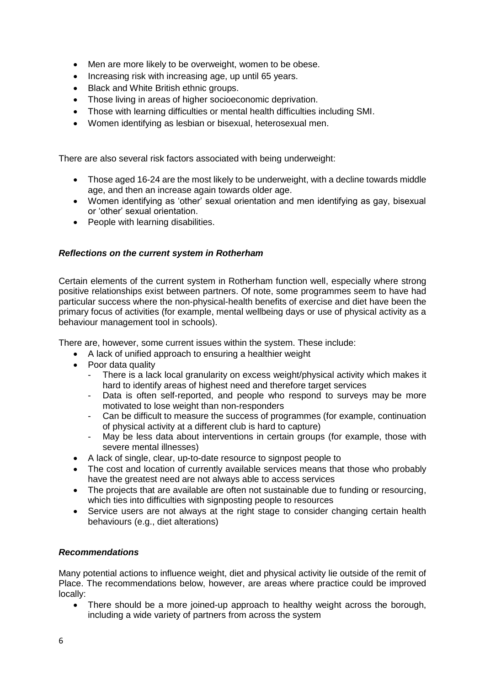- Men are more likely to be overweight, women to be obese.
- Increasing risk with increasing age, up until 65 years.
- Black and White British ethnic groups.
- Those living in areas of higher socioeconomic deprivation.
- Those with learning difficulties or mental health difficulties including SMI.
- Women identifying as lesbian or bisexual, heterosexual men.

There are also several risk factors associated with being underweight:

- Those aged 16-24 are the most likely to be underweight, with a decline towards middle age, and then an increase again towards older age.
- Women identifying as 'other' sexual orientation and men identifying as gay, bisexual or 'other' sexual orientation.
- People with learning disabilities.

# *Reflections on the current system in Rotherham*

Certain elements of the current system in Rotherham function well, especially where strong positive relationships exist between partners. Of note, some programmes seem to have had particular success where the non-physical-health benefits of exercise and diet have been the primary focus of activities (for example, mental wellbeing days or use of physical activity as a behaviour management tool in schools).

There are, however, some current issues within the system. These include:

- A lack of unified approach to ensuring a healthier weight
- Poor data quality
	- There is a lack local granularity on excess weight/physical activity which makes it hard to identify areas of highest need and therefore target services
	- Data is often self-reported, and people who respond to surveys may be more motivated to lose weight than non-responders
	- Can be difficult to measure the success of programmes (for example, continuation of physical activity at a different club is hard to capture)
	- May be less data about interventions in certain groups (for example, those with severe mental illnesses)
- A lack of single, clear, up-to-date resource to signpost people to
- The cost and location of currently available services means that those who probably have the greatest need are not always able to access services
- The projects that are available are often not sustainable due to funding or resourcing, which ties into difficulties with signposting people to resources
- Service users are not always at the right stage to consider changing certain health behaviours (e.g., diet alterations)

# *Recommendations*

Many potential actions to influence weight, diet and physical activity lie outside of the remit of Place. The recommendations below, however, are areas where practice could be improved locally:

 There should be a more joined-up approach to healthy weight across the borough, including a wide variety of partners from across the system